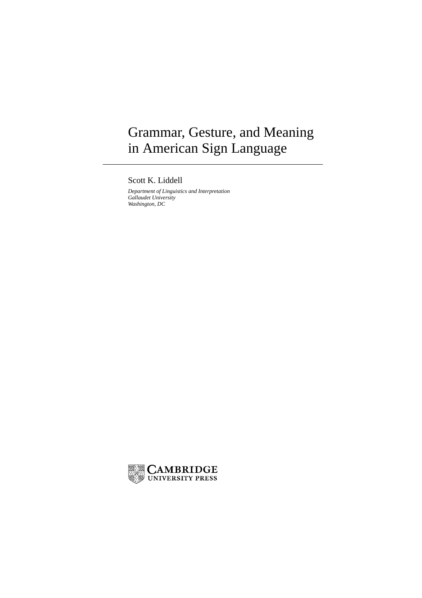## Grammar, Gesture, and Meaning in American Sign Language

Scott K. Liddell

*Department of Linguistics and Interpretation Gallaudet University Washington, DC*

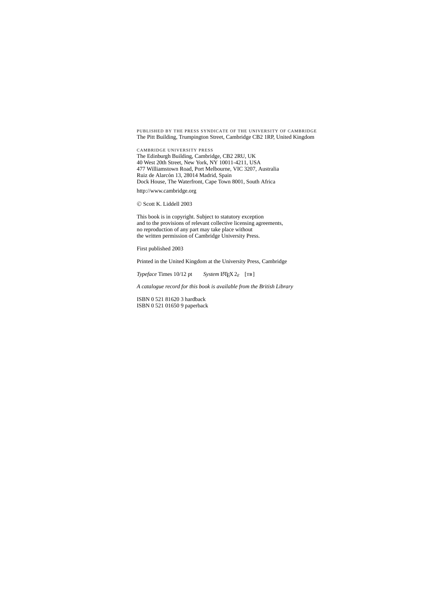PUBLISHED BY THE PRESS SYNDICATE OF THE UNIVERSITY OF CAMBRIDGE The Pitt Building, Trumpington Street, Cambridge CB2 1RP, United Kingdom

CAMBRIDGE UNIVERSITY PRESS The Edinburgh Building, Cambridge, CB2 2RU, UK 40 West 20th Street, New York, NY 10011-4211, USA 477 Williamstown Road, Port Melbourne, VIC 3207, Australia Ruiz de Alarcón 13, 28014 Madrid, Spain Dock House, The Waterfront, Cape Town 8001, South Africa

http://www.cambridge.org

<sup>C</sup> Scott K. Liddell 2003

This book is in copyright. Subject to statutory exception and to the provisions of relevant collective licensing agreements, no reproduction of any part may take place without the written permission of Cambridge University Press.

First published 2003

Printed in the United Kingdom at the University Press, Cambridge

*Typeface* Times  $10/12$  pt *System* LATEX  $2\varepsilon$  [TB]

*A catalogue record for this book is available from the British Library*

ISBN 0 521 81620 3 hardback ISBN 0 521 01650 9 paperback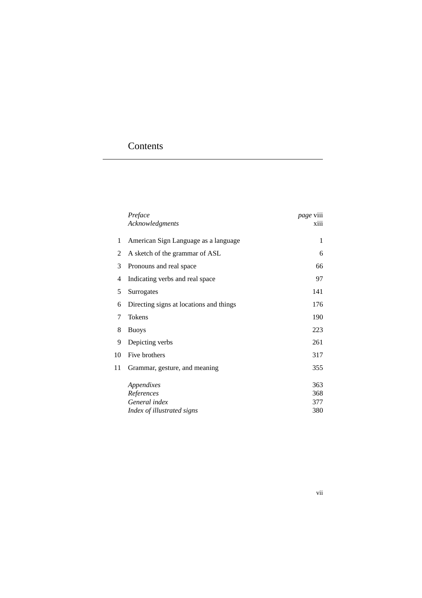## Contents

|    | Preface                                 | <i>page</i> viii |
|----|-----------------------------------------|------------------|
|    | Acknowledgments                         | xiii             |
| 1  | American Sign Language as a language    | 1                |
| 2  | A sketch of the grammar of ASL          | 6                |
| 3  | Pronouns and real space                 | 66               |
| 4  | Indicating verbs and real space         | 97               |
| 5  | Surrogates                              | 141              |
| 6  | Directing signs at locations and things | 176              |
| 7  | Tokens                                  | 190              |
| 8  | <b>Buoys</b>                            | 223              |
| 9  | Depicting verbs                         | 261              |
| 10 | Five brothers                           | 317              |
| 11 | Grammar, gesture, and meaning           | 355              |
|    | Appendixes<br>References                | 363<br>368       |
|    | General index                           | 377              |
|    | Index of illustrated signs              | 380              |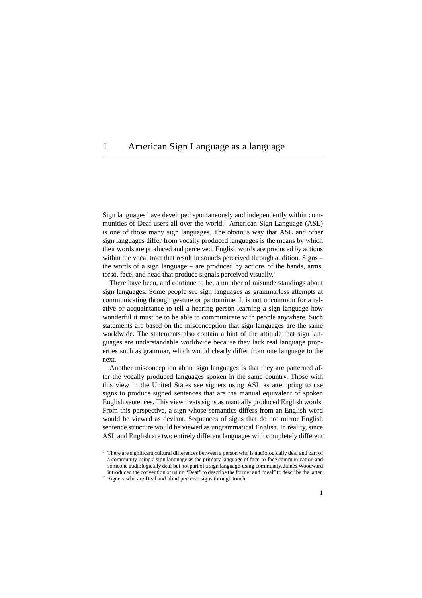Sign languages have developed spontaneously and independently within communities of Deaf users all over the world.<sup>1</sup> American Sign Language (ASL) is one of those many sign languages. The obvious way that ASL and other sign languages differ from vocally produced languages is the means by which their words are produced and perceived. English words are produced by actions within the vocal tract that result in sounds perceived through audition. Signs – the words of a sign language – are produced by actions of the hands, arms, torso, face, and head that produce signals perceived visually.<sup>2</sup>

There have been, and continue to be, a number of misunderstandings about sign languages. Some people see sign languages as grammarless attempts at communicating through gesture or pantomime. It is not uncommon for a relative or acquaintance to tell a hearing person learning a sign language how wonderful it must be to be able to communicate with people anywhere. Such statements are based on the misconception that sign languages are the same worldwide. The statements also contain a hint of the attitude that sign languages are understandable worldwide because they lack real language properties such as grammar, which would clearly differ from one language to the next.

Another misconception about sign languages is that they are patterned after the vocally produced languages spoken in the same country. Those with this view in the United States see signers using ASL as attempting to use signs to produce signed sentences that are the manual equivalent of spoken English sentences. This view treats signs as manually produced English words. From this perspective, a sign whose semantics differs from an English word would be viewed as deviant. Sequences of signs that do not mirror English sentence structure would be viewed as ungrammatical English. In reality, since ASL and English are two entirely different languages with completely different

 $<sup>1</sup>$  There are significant cultural differences between a person who is audiologically deaf and part of</sup> a community using a sign language as the primary language of face-to-face communication and someone audiologically deaf but not part of a sign language-using community. James Woodward introduced the convention of using "Deaf" to describe the former and "deaf" to describe the latter. <sup>2</sup> Signers who are Deaf and blind perceive signs through touch.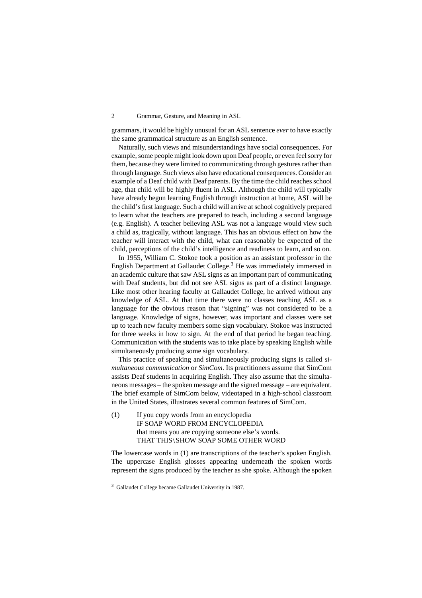grammars, it would be highly unusual for an ASL sentence *ever* to have exactly the same grammatical structure as an English sentence.

Naturally, such views and misunderstandings have social consequences. For example, some people might look down upon Deaf people, or even feel sorry for them, because they were limited to communicating through gestures rather than through language. Such views also have educational consequences. Consider an example of a Deaf child with Deaf parents. By the time the child reaches school age, that child will be highly fluent in ASL. Although the child will typically have already begun learning English through instruction at home, ASL will be the child's first language. Such a child will arrive at school cognitively prepared to learn what the teachers are prepared to teach, including a second language (e.g. English). A teacher believing ASL was not a language would view such a child as, tragically, without language. This has an obvious effect on how the teacher will interact with the child, what can reasonably be expected of the child, perceptions of the child's intelligence and readiness to learn, and so on.

In 1955, William C. Stokoe took a position as an assistant professor in the English Department at Gallaudet College.<sup>3</sup> He was immediately immersed in an academic culture that saw ASL signs as an important part of communicating with Deaf students, but did not see ASL signs as part of a distinct language. Like most other hearing faculty at Gallaudet College, he arrived without any knowledge of ASL. At that time there were no classes teaching ASL as a language for the obvious reason that "signing" was not considered to be a language. Knowledge of signs, however, was important and classes were set up to teach new faculty members some sign vocabulary. Stokoe was instructed for three weeks in how to sign. At the end of that period he began teaching. Communication with the students was to take place by speaking English while simultaneously producing some sign vocabulary.

This practice of speaking and simultaneously producing signs is called *simultaneous communication* or *SimCom*. Its practitioners assume that SimCom assists Deaf students in acquiring English. They also assume that the simultaneous messages – the spoken message and the signed message – are equivalent. The brief example of SimCom below, videotaped in a high-school classroom in the United States, illustrates several common features of SimCom.

(1) If you copy words from an encyclopedia IF SOAP WORD FROM ENCYCLOPEDIA that means you are copying someone else's words. THAT THIS\SHOW SOAP SOME OTHER WORD

The lowercase words in (1) are transcriptions of the teacher's spoken English. The uppercase English glosses appearing underneath the spoken words represent the signs produced by the teacher as she spoke. Although the spoken

<sup>3</sup> Gallaudet College became Gallaudet University in 1987.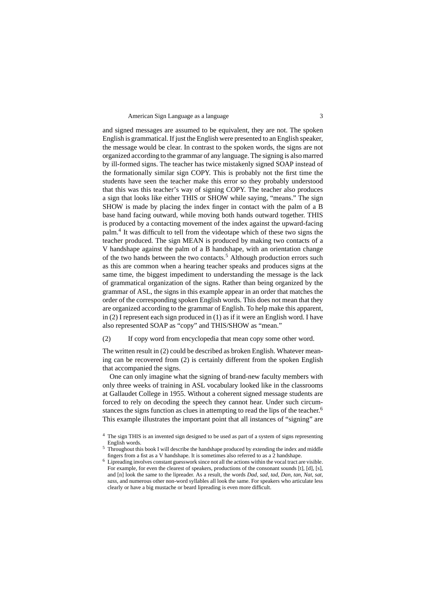and signed messages are assumed to be equivalent, they are not. The spoken English is grammatical. If just the English were presented to an English speaker, the message would be clear. In contrast to the spoken words, the signs are not organized according to the grammar of any language. The signing is also marred by ill-formed signs. The teacher has twice mistakenly signed SOAP instead of the formationally similar sign COPY. This is probably not the first time the students have seen the teacher make this error so they probably understood that this was this teacher's way of signing COPY. The teacher also produces a sign that looks like either THIS or SHOW while saying, "means." The sign SHOW is made by placing the index finger in contact with the palm of a B base hand facing outward, while moving both hands outward together. THIS is produced by a contacting movement of the index against the upward-facing palm.4 It was difficult to tell from the videotape which of these two signs the teacher produced. The sign MEAN is produced by making two contacts of a V handshape against the palm of a B handshape, with an orientation change of the two hands between the two contacts.<sup>5</sup> Although production errors such as this are common when a hearing teacher speaks and produces signs at the same time, the biggest impediment to understanding the message is the lack of grammatical organization of the signs. Rather than being organized by the grammar of ASL, the signs in this example appear in an order that matches the order of the corresponding spoken English words. This does not mean that they are organized according to the grammar of English. To help make this apparent, in (2) I represent each sign produced in (1) as if it were an English word. I have also represented SOAP as "copy" and THIS/SHOW as "mean."

(2) If copy word from encyclopedia that mean copy some other word.

The written result in (2) could be described as broken English. Whatever meaning can be recovered from (2) is certainly different from the spoken English that accompanied the signs.

One can only imagine what the signing of brand-new faculty members with only three weeks of training in ASL vocabulary looked like in the classrooms at Gallaudet College in 1955. Without a coherent signed message students are forced to rely on decoding the speech they cannot hear. Under such circumstances the signs function as clues in attempting to read the lips of the teacher.<sup>6</sup> This example illustrates the important point that all instances of "signing" are

<sup>&</sup>lt;sup>4</sup> The sign THIS is an invented sign designed to be used as part of a system of signs representing

English words.<br><sup>5</sup> Throughout this book I will describe the handshape produced by extending the index and middle fingers from a fist as a V handshape. It is sometimes also referred to as a 2 handshape.

 $6$  Lipreading involves constant guesswork since not all the actions within the vocal tract are visible. For example, for even the clearest of speakers, productions of the consonant sounds [t], [d], [s], and [n] look the same to the lipreader. As a result, the words *Dad, sad, tad, Dan, tan, Nat, sat, sass*, and numerous other non-word syllables all look the same. For speakers who articulate less clearly or have a big mustache or beard lipreading is even more difficult.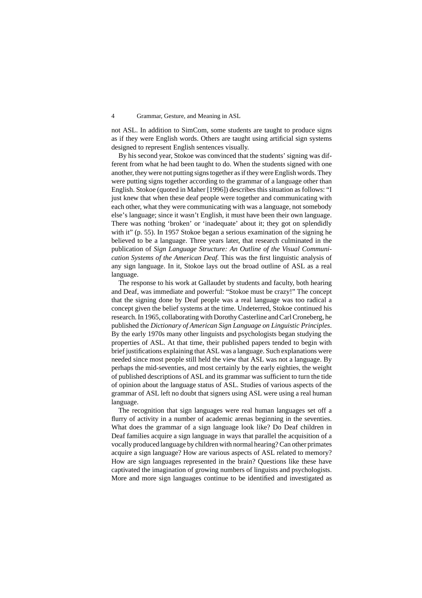not ASL. In addition to SimCom, some students are taught to produce signs as if they were English words. Others are taught using artificial sign systems designed to represent English sentences visually.

By his second year, Stokoe was convinced that the students' signing was different from what he had been taught to do. When the students signed with one another, they were not putting signs together as if they were English words. They were putting signs together according to the grammar of a language other than English. Stokoe (quoted in Maher [1996]) describes this situation as follows: "I just knew that when these deaf people were together and communicating with each other, what they were communicating with was a language, not somebody else's language; since it wasn't English, it must have been their own language. There was nothing 'broken' or 'inadequate' about it; they got on splendidly with it" (p. 55). In 1957 Stokoe began a serious examination of the signing he believed to be a language. Three years later, that research culminated in the publication of *Sign Language Structure: An Outline of the Visual Communication Systems of the American Deaf.* This was the first linguistic analysis of any sign language. In it, Stokoe lays out the broad outline of ASL as a real language.

The response to his work at Gallaudet by students and faculty, both hearing and Deaf, was immediate and powerful: "Stokoe must be crazy!" The concept that the signing done by Deaf people was a real language was too radical a concept given the belief systems at the time. Undeterred, Stokoe continued his research. In 1965, collaborating with Dorothy Casterline and Carl Croneberg, he published the *Dictionary of American Sign Language on Linguistic Principles*. By the early 1970s many other linguists and psychologists began studying the properties of ASL. At that time, their published papers tended to begin with brief justifications explaining that ASL was a language. Such explanations were needed since most people still held the view that ASL was not a language. By perhaps the mid-seventies, and most certainly by the early eighties, the weight of published descriptions of ASL and its grammar was sufficient to turn the tide of opinion about the language status of ASL. Studies of various aspects of the grammar of ASL left no doubt that signers using ASL were using a real human language.

The recognition that sign languages were real human languages set off a flurry of activity in a number of academic arenas beginning in the seventies. What does the grammar of a sign language look like? Do Deaf children in Deaf families acquire a sign language in ways that parallel the acquisition of a vocally produced language by children with normal hearing? Can other primates acquire a sign language? How are various aspects of ASL related to memory? How are sign languages represented in the brain? Questions like these have captivated the imagination of growing numbers of linguists and psychologists. More and more sign languages continue to be identified and investigated as